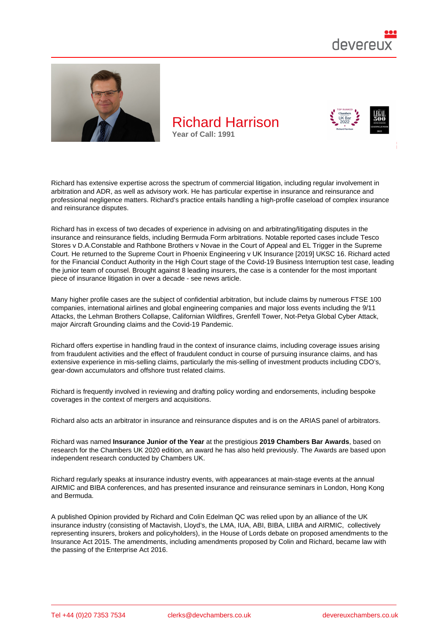

Richard has extensive expertise across the spectrum of commercial litigation, including regular involvement in arbitration and ADR, as well as advisory work. He has particular expertise in insurance and reinsurance and professional negligence matters. Richard's practice entails handling a high-profile caseload of complex insurance and reinsurance disputes.

Richard has in excess of two decades of experience in advising on and arbitrating/litigating disputes in the insurance and reinsurance fields, including Bermuda Form arbitrations. Notable reported cases include Tesco Stores v D.A.Constable and Rathbone Brothers v Novae in the Court of Appeal and EL Trigger in the Supreme Court. He returned to the Supreme Court in Phoenix Engineering v UK Insurance [2019] UKSC 16. Richard acted for the Financial Conduct Authority in the High Court stage of the Covid-19 Business Interruption test case, leading the junior team of counsel. Brought against 8 leading insurers, the case is a contender for the most important piece of insurance litigation in over a decade - see news article.

Many higher profile cases are the subject of confidential arbitration, but include claims by numerous FTSE 100 companies, international airlines and global engineering companies and major loss events including the 9/11 Attacks, the Lehman Brothers Collapse, California[n Wildfires, G](https://www.devereuxchambers.co.uk/resources/news/view/colin-edelman-qc-and-richard-harrison-act-for-the-fca-in-the-covid-19-business-interruption-test-case-which-was-issued-today)renfell Tower, Not-Petya Global Cyber Attack, major Aircraft Grounding claims and the Covid-19 Pandemic.

Richard offers expertise in handling fraud in the context of insurance claims, including coverage issues arising from fraudulent activities and the effect of fraudulent conduct in course of pursuing insurance claims, and has extensive experience in mis-selling claims, particularly the mis-selling of investment products including CDO's, gear-down accumulators and offshore trust related claims.

Richard is frequently involved in reviewing and drafting policy wording and endorsements, including bespoke coverages in the context of mergers and acquisitions.

Richard also acts an arbitrator in insurance and reinsurance disputes and is on the ARIAS panel of arbitrators.

Richard was named Insurance Junior of the Year at the prestigious 2019 Chambers Bar Awards , based on research for the Chambers UK 2020 edition, an award he has also held previously. The Awards are based upon independent research conducted by Chambers UK.

Richard regularly speaks at insurance industry events, with appearances at main-stage events at the annual AIRMIC and BIBA conferences, and has presented insurance and reinsurance seminars in London, Hong Kong and Bermuda.

A published Opinion provided by Richard and Colin Edelman QC was relied upon by an alliance of the UK insurance industry (consisting of Mactavish, Lloyd's, the LMA, IUA, ABI, BIBA, LIIBA and AIRMIC, collectively representing insurers, brokers and policyholders), in the House of Lords debate on proposed amendments to the Insurance Act 2015. The amendments, including amendments proposed by Colin and Richard, became law with the passing of the Enterprise Act 2016.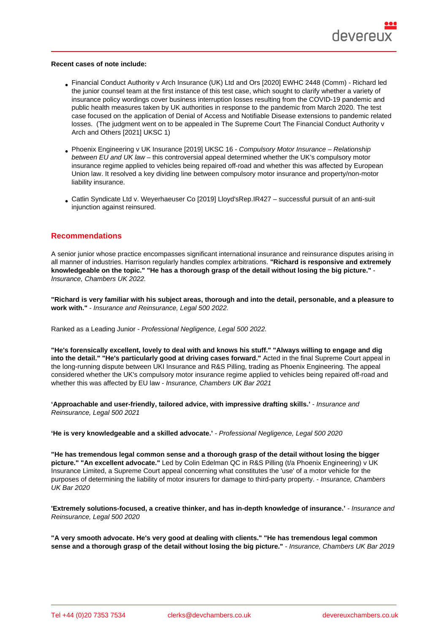Recent cases of note include:

- Financial Conduct Authority v Arch Insurance (UK) Ltd and Ors [2020] EWHC 2448 (Comm) Richard led the junior counsel team at the first instance of this test case, which sought to clarify whether a variety of insurance policy wordings cover business interruption losses resulting from the COVID-19 pandemic and public health measures taken by UK authorities in response to the pandemic from March 2020. The test [case focused on the application of Denial of Access and Notifiable Disease extensions to pa](https://www.bailii.org/ew/cases/EWHC/Comm/2020/2448.html)ndemic related losses. (The judgment went on to be appealed in The Supreme Court The Financial Conduct Authority v Arch and Others [2021] UKSC 1)
- Phoenix Engineering v UK Insurance [2019] UKSC 16 Compulsory Motor Insurance Relationship between EU and UK law – this controversial appeal determined wheth[er the UK's compulsory motor](https://www.supremecourt.uk/cases/docs/uksc-2020-0177-judgment.pdf)  [insurance regime](https://www.supremecourt.uk/cases/docs/uksc-2020-0177-judgment.pdf) applied to vehicles being repaired off-road and whether this was affected by European Union law. It resolved a key dividing line between compulsory motor insurance and property/non-motor [liability insurance.](https://www.supremecourt.uk/cases/docs/uksc-2017-0096-judgment.pdf)
- Catlin Syndicate Ltd v. Weyerhaeuser Co [2019] Lloyd'sRep.IR427 successful pursuit of an anti-suit injunction against reinsured.

## Reco[mmendations](http://bit.ly/38xEFoR)

A senior junior whose practice encompasses significant international insurance and reinsurance disputes arising in all manner of industries. Harrison regularly handles complex arbitrations. "Richard is responsive and extremely knowledgeable on the topic." "He has a thorough grasp of the detail without losing the big picture." Insurance, Chambers UK 2022.

"Richard is very familiar with his subject areas, thorough and into the detail, personable, and a pleasure to work with." - Insurance and Reinsurance, Legal 500 2022.

Ranked as a Leading Junior - Professional Negligence, Legal 500 2022.

"He's forensically excellent, lovely to deal with and knows his stuff." "Always willing to engage and dig into the detail." "He's particularly good at driving cases forward." Acted in the final Supreme Court appeal in the long-running dispute between UKI Insurance and R&S Pilling, trading as Phoenix Engineering. The appeal considered whether the UK's compulsory motor insurance regime applied to vehicles being repaired off-road and whether this was affected by EU law - Insurance, Chambers UK Bar 2021

'Approachable and user-friendly, tailored advice, with impressive drafting skills.' - Insurance and Reinsurance, Legal 500 2021

'He is very knowledgeable and a skilled advocate.' - Professional Negligence, Legal 500 2020

"He has tremendous legal common sense and a thorough grasp of the detail without losing the bigger picture." "An excellent advocate." Led by Colin Edelman QC in R&S Pilling (t/a Phoenix Engineering) v UK Insurance Limited, a Supreme Court appeal concerning what constitutes the 'use' of a motor vehicle for the purposes of determining the liability of motor insurers for damage to third-party property. - Insurance, Chambers UK Bar 2020

'Extremely solutions-focused, a creative thinker, and has in-depth knowledge of insurance.' - Insurance and Reinsurance, Legal 500 2020

"A very smooth advocate. He's very good at dealing with clients." "He has tremendous legal common sense and a thorough grasp of the detail without losing the big picture." - Insurance, Chambers UK Bar 2019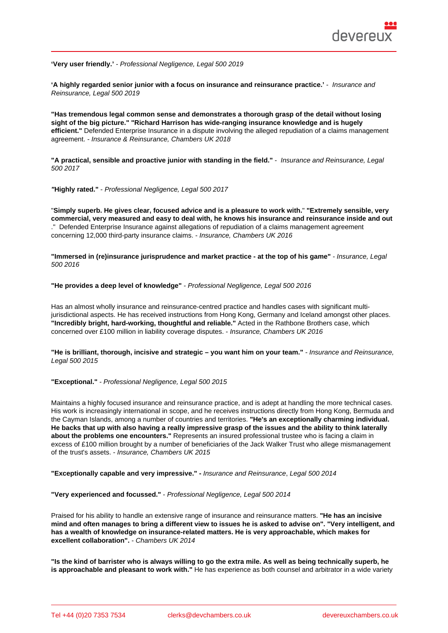'Very user friendly.' - Professional Negligence, Legal 500 2019

'A highly regarded senior junior with a focus on insurance and reinsurance practice.' - Insurance and Reinsurance, Legal 500 2019

"Has tremendous legal common sense and demonstrates a thorough grasp of the detail without losing sight of the big picture." "Richard Harrison has wide-ranging insurance knowledge and is hugely efficient." Defended Enterprise Insurance in a dispute involving the alleged repudiation of a claims management agreement. - Insurance & Reinsurance, Chambers UK 2018

"A practical, sensible and proactive junior with standing in the field." - Insurance and Reinsurance, Legal 500 2017

"Highly rated." - Professional Negligence, Legal 500 2017

"Simply superb. He gives clear, focused advice and is a pleasure to work with. " "Extremely sensible, very commercial, very measured and easy to deal with, he knows his insurance and reinsurance inside and out ." Defended Enterprise Insurance against allegations of repudiation of a claims management agreement concerning 12,000 third-party insurance claims. - Insurance, Chambers UK 2016

"Immersed in (re)insurance jurisprudence and market practice - at the top of his game" - Insurance, Legal 500 2016

"He provides a deep level of knowledge" - Professional Negligence, Legal 500 2016

Has an almost wholly insurance and reinsurance-centred practice and handles cases with significant multijurisdictional aspects. He has received instructions from Hong Kong, Germany and Iceland amongst other places. "Incredibly bright, hard-working, thoughtful and reliable." Acted in the Rathbone Brothers case, which concerned over £100 million in liability coverage disputes. - Insurance, Chambers UK 2016

"He is brilliant, thorough, incisive and strategic – you want him on your team." - Insurance and Reinsurance, Legal 500 2015

"Exceptional." - Professional Negligence, Legal 500 2015

Maintains a highly focused insurance and reinsurance practice, and is adept at handling the more technical cases. His work is increasingly international in scope, and he receives instructions directly from Hong Kong, Bermuda and the Cayman Islands, among a number of countries and territories. "He's an exceptionally charming individual. He backs that up with also having a really impressive grasp of the issues and the ability to think laterally about the problems one encounters." Represents an insured professional trustee who is facing a claim in excess of £100 million brought by a number of beneficiaries of the Jack Walker Trust who allege mismanagement of the trust's assets. - Insurance, Chambers UK 2015

"Exceptionally capable and very impressive." - Insurance and Reinsurance, Legal 500 2014

"Very experienced and focussed." - Professional Negligence, Legal 500 2014

Praised for his ability to handle an extensive range of insurance and reinsurance matters. "He has an incisive mind and often manages to bring a different view to issues he is asked to advise on". "Very intelligent, and has a wealth of knowledge on insurance-related matters. He is very approachable, which makes for excellent collaboration". - Chambers UK 2014

"Is the kind of barrister who is always willing to go the extra mile. As well as being technically superb, he is approachable and pleasant to work with." He has experience as both counsel and arbitrator in a wide variety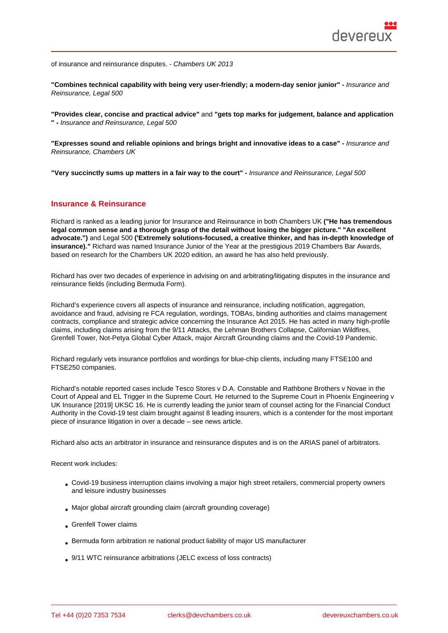"Combines technical capability with being very user-friendly; a modern-day senior junior" - Insurance and Reinsurance, Legal 500

"Provides clear, concise and practical advice" and "gets top marks for judgement, balance and application " - Insurance and Reinsurance, Legal 500

"Expresses sound and reliable opinions and brings bright and innovative ideas to a case" allo - Insurance and Reinsurance, Chambers UK

"Very succinctly sums up matters in a fair way to the court" - Insurance and Reinsurance, Legal 500

#### Insurance & Reinsurance

Richard is ranked as a leading junior for Insurance and Reinsurance in both Chambers UK ("He has tremendous legal common sense and a thorough grasp of the detail without losing the bigger picture." "An excellent advocate.") and Legal 500 ('Extremely solutions-focused, a creative thinker, and has in-depth knowledge of insurance)." Richard was named Insurance Junior of the Year at the prestigious 2019 Chambers Bar Awards, based on research for the Chambers UK 2020 edition, an award he has also held previously.

Richard has over two decades of experience in advising on and arbitrating/litigating disputes in the insurance and reinsurance fields (including Bermuda Form).

Richard's experience covers all aspects of insurance and reinsurance, including notification, aggregation, avoidance and fraud, advising re FCA regulation, wordings, TOBAs, binding authorities and claims management contracts, compliance and strategic advice concerning the Insurance Act 2015. He has acted in many high-profile claims, including claims arising from the 9/11 Attacks, the Lehman Brothers Collapse, Californian Wildfires, Grenfell Tower, Not-Petya Global Cyber Attack, major Aircraft Grounding claims and the Covid-19 Pandemic.

Richard regularly vets insurance portfolios and wordings for blue-chip clients, including many FTSE100 and FTSE250 companies.

Richard's notable reported cases include Tesco Stores v D.A. Constable and Rathbone Brothers v Novae in the Court of Appeal and EL Trigger in the Supreme Court. He returned to the Supreme Court in Phoenix Engineering v UK Insurance [2019] UKSC 16. He is currently leading the junior team of counsel acting for the Financial Conduct Authority in the Covid-19 test claim brought against 8 leading insurers, which is a contender for the most important piece of insurance litigation in over a decade – see news article.

Richard also acts an arbitrator in insurance and reinsurance disputes and is on the ARIAS panel of arbitrators.

Recent work includes:

- Covid-19 business interruption claims involving a major high street retailers, commercial property owners and leisure industry businesses
- Major global aircraft grounding claim (aircraft grounding coverage)
- Grenfell Tower claims
- Bermuda form arbitration re national product liability of major US manufacturer
- 9/11 WTC reinsurance arbitrations (JELC excess of loss contracts)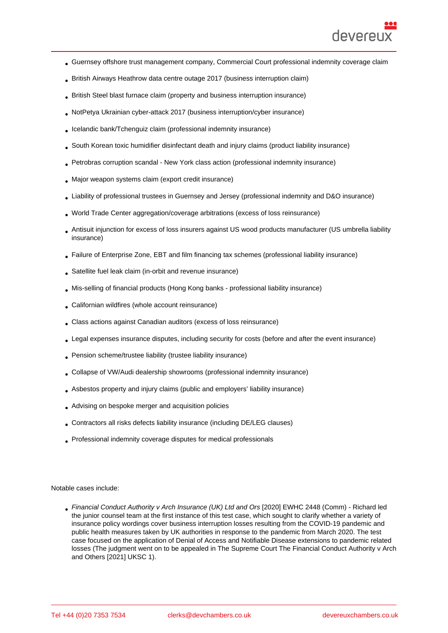- Guernsey offshore trust management company, Commercial Court professional indemnity coverage claim
- British Airways Heathrow data centre outage 2017 (business interruption claim)
- British Steel blast furnace claim (property and business interruption insurance)
- NotPetya Ukrainian cyber-attack 2017 (business interruption/cyber insurance)
- Icelandic bank/Tchenguiz claim (professional indemnity insurance)
- South Korean toxic humidifier disinfectant death and injury claims (product liability insurance)
- Petrobras corruption scandal New York class action (professional indemnity insurance)
- Major weapon systems claim (export credit insurance)
- Liability of professional trustees in Guernsey and Jersey (professional indemnity and D&O insurance)
- World Trade Center aggregation/coverage arbitrations (excess of loss reinsurance)
- Antisuit injunction for excess of loss insurers against US wood products manufacturer (US umbrella liability insurance)
- Failure of Enterprise Zone, EBT and film financing tax schemes (professional liability insurance)
- Satellite fuel leak claim (in-orbit and revenue insurance)
- Mis-selling of financial products (Hong Kong banks professional liability insurance)
- Californian wildfires (whole account reinsurance)
- Class actions against Canadian auditors (excess of loss reinsurance)
- Legal expenses insurance disputes, including security for costs (before and after the event insurance)
- Pension scheme/trustee liability (trustee liability insurance)
- Collapse of VW/Audi dealership showrooms (professional indemnity insurance)
- Asbestos property and injury claims (public and employers' liability insurance)
- Advising on bespoke merger and acquisition policies
- Contractors all risks defects liability insurance (including DE/LEG clauses)
- Professional indemnity coverage disputes for medical professionals

Notable cases include:

Financial Conduct Authority v Arch Insurance (UK) Ltd and Ors [2020] EWHC 2448 (Comm) - Richard led the junior counsel team at the first instance of this test case, which sought to clarify whether a variety of insurance policy wordings cover business interruption losses resulting from the COVID-19 pandemic and public health measures taken by UK authorities in response to the pandemic from March 2020. The test case focused on the application of Denial of Access and Notifiable Disease extensions to pandemic related losses (The judgment went on to be appealed in The Supreme Court The Financial Conduct Authority v Arch and Others [2021] UKSC 1).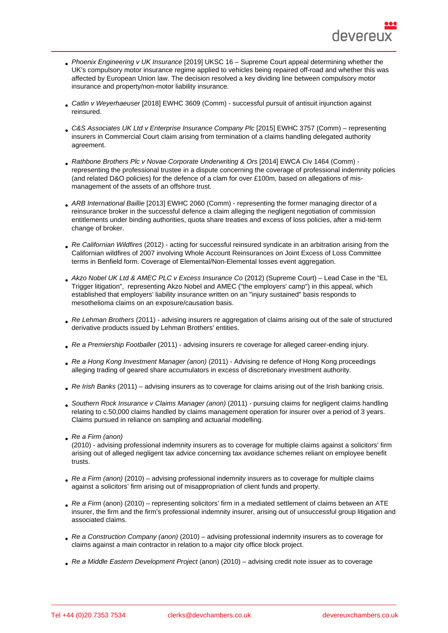- Phoenix Engineering v UK Insurance [2019] UKSC 16 Supreme Court appeal determining whether the UK's compulsory motor insurance regime applied to vehicles being repaired off-road and whether this was affected by European Union law. The decision resolved a key dividing line between compulsory motor insurance and property/non-motor liability insurance.
- Catlin v Weyerhaeuser [2018] EWHC 3609 (Comm) successful pursuit of antisuit injunction against reinsured.
- C&S Associates UK Ltd v Enterprise Insurance Company Plc [2015] EWHC 3757 (Comm) representing insurers in Commercial Court claim arising from termination of a claims handling delegated authority agreement.
- Rathbone Brothers Plc v Novae Corporate Underwriting & Ors [2014] EWCA Civ 1464 (Comm) representing the professional trustee in a dispute concerning the coverage of professional indemnity policies (and related D&O policies) for the defence of a clam for over £100m, based on allegations of mismanagement of the assets of an offshore trust.
- ARB International Baillie [2013] EWHC 2060 (Comm) representing the former managing director of a reinsurance broker in the successful defence a claim alleging the negligent negotiation of commission entitlements under binding authorities, quota share treaties and excess of loss policies, after a mid-term change of broker.
- Re Californian Wildfires (2012) acting for successful reinsured syndicate in an arbitration arising from the Californian wildfires of 2007 involving Whole Account Reinsurances on Joint Excess of Loss Committee terms in Benfield form. Coverage of Elemental/Non-Elemental losses event aggregation.
- Akzo Nobel UK Ltd & AMEC PLC v Excess Insurance Co (2012) (Supreme Court) Lead Case in the "EL Trigger litigation", representing Akzo Nobel and AMEC ("the employers' camp") in this appeal, which established that employers' liability insurance written on an "injury sustained" basis responds to mesothelioma claims on an exposure/causation basis.
- Re Lehman Brothers (2011) advising insurers re aggregation of claims arising out of the sale of structured derivative products issued by Lehman Brothers' entities.
- Re a Premiership Footballer (2011) advising insurers re coverage for alleged career-ending injury.
- Re a Hong Kong Investment Manager (anon) (2011) Advising re defence of Hong Kong proceedings alleging trading of geared share accumulators in excess of discretionary investment authority.
- Re Irish Banks (2011) advising insurers as to coverage for claims arising out of the Irish banking crisis.
- Southern Rock Insurance v Claims Manager (anon) (2011) pursuing claims for negligent claims handling relating to c.50,000 claims handled by claims management operation for insurer over a period of 3 years. Claims pursued in reliance on sampling and actuarial modelling.
- Re a Firm (anon)

(2010) - advising professional indemnity insurers as to coverage for multiple claims against a solicitors' firm arising out of alleged negligent tax advice concerning tax avoidance schemes reliant on employee benefit trusts.

- Re a Firm (anon) (2010) advising professional indemnity insurers as to coverage for multiple claims against a solicitors' firm arising out of misappropriation of client funds and property.
- Re a Firm (anon) (2010) representing solicitors' firm in a mediated settlement of claims between an ATE insurer, the firm and the firm's professional indemnity insurer, arising out of unsuccessful group litigation and associated claims.
- Re a Construction Company (anon) (2010) advising professional indemnity insurers as to coverage for claims against a main contractor in relation to a major city office block project.
- Re a Middle Eastern Development Project (anon) (2010) advising credit note issuer as to coverage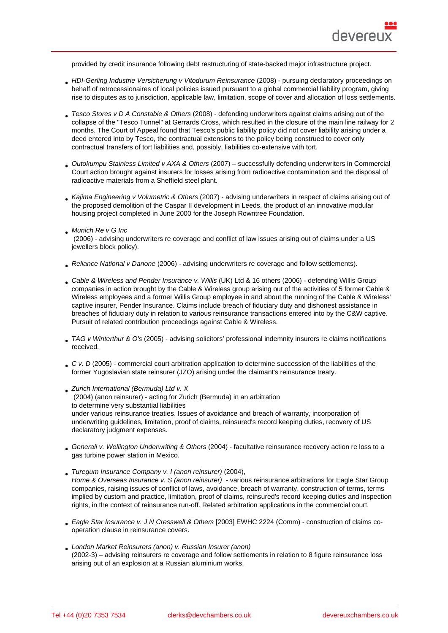provided by credit insurance following debt restructuring of state-backed major infrastructure project.

- HDI-Gerling Industrie Versicherung v Vitodurum Reinsurance (2008) pursuing declaratory proceedings on behalf of retrocessionaires of local policies issued pursuant to a global commercial liability program, giving rise to disputes as to jurisdiction, applicable law, limitation, scope of cover and allocation of loss settlements.
- Tesco Stores v D A Constable & Others (2008) defending underwriters against claims arising out of the collapse of the "Tesco Tunnel" at Gerrards Cross, which resulted in the closure of the main line railway for 2 months. The Court of Appeal found that Tesco's public liability policy did not cover liability arising under a deed entered into by Tesco, the contractual extensions to the policy being construed to cover only contractual transfers of tort liabilities and, possibly, liabilities co-extensive with tort.
- Outokumpu Stainless Limited v AXA & Others (2007) successfully defending underwriters in Commercial Court action brought against insurers for losses arising from radioactive contamination and the disposal of radioactive materials from a Sheffield steel plant.
- Kajima Engineering v Volumetric & Others (2007) advising underwriters in respect of claims arising out of the proposed demolition of the Caspar II development in Leeds, the product of an innovative modular housing project completed in June 2000 for the Joseph Rowntree Foundation.
- **Munich Re v G Inc**
- (2006) advising underwriters re coverage and conflict of law issues arising out of claims under a US jewellers block policy).
- Reliance National v Danone (2006) advising underwriters re coverage and follow settlements).
- Cable & Wireless and Pender Insurance v. Willis (UK) Ltd & 16 others (2006) defending Willis Group companies in action brought by the Cable & Wireless group arising out of the activities of 5 former Cable & Wireless employees and a former Willis Group employee in and about the running of the Cable & Wireless' captive insurer, Pender Insurance. Claims include breach of fiduciary duty and dishonest assistance in breaches of fiduciary duty in relation to various reinsurance transactions entered into by the C&W captive. Pursuit of related contribution proceedings against Cable & Wireless.
- TAG v Winterthur & O's (2005) advising solicitors' professional indemnity insurers re claims notifications received.
- C v. D (2005) commercial court arbitration application to determine succession of the liabilities of the former Yugoslavian state reinsurer (JZO) arising under the claimant's reinsurance treaty.
- Zurich International (Bermuda) Ltd v. X (2004) (anon reinsurer) - acting for Zurich (Bermuda) in an arbitration to determine very substantial liabilities under various reinsurance treaties. Issues of avoidance and breach of warranty, incorporation of underwriting guidelines, limitation, proof of claims, reinsured's record keeping duties, recovery of US declaratory judgment expenses.
- Generali v. Wellington Underwriting & Others (2004) facultative reinsurance recovery action re loss to a gas turbine power station in Mexico.
- Turegum Insurance Company v. I (anon reinsurer) (2004), Home & Overseas Insurance v. S (anon reinsurer) - various reinsurance arbitrations for Eagle Star Group companies, raising issues of conflict of laws, avoidance, breach of warranty, construction of terms, terms implied by custom and practice, limitation, proof of claims, reinsured's record keeping duties and inspection rights, in the context of reinsurance run-off. Related arbitration applications in the commercial court.
- Eagle Star Insurance v. J N Cresswell & Others [2003] EWHC 2224 (Comm) construction of claims cooperation clause in reinsurance covers.
- London Market Reinsurers (anon) v. Russian Insurer (anon) (2002-3) – advising reinsurers re coverage and follow settlements in relation to 8 figure reinsurance loss arising out of an explosion at a Russian aluminium works.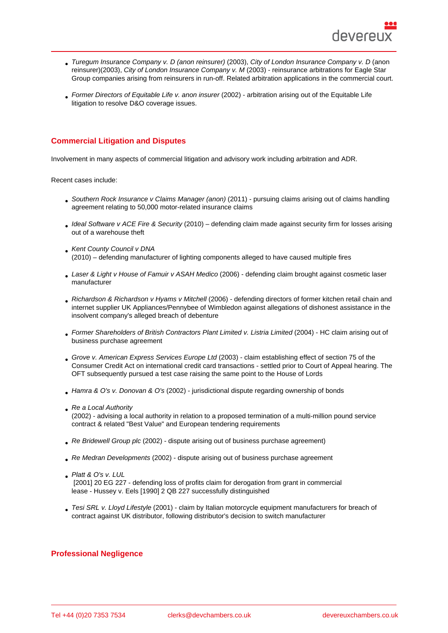- Turegum Insurance Company v. D (anon reinsurer) (2003), City of London Insurance Company v. D (anon reinsurer)(2003), City of London Insurance Company v. M (2003) - reinsurance arbitrations for Eagle Star Group companies arising from reinsurers in run-off. Related arbitration applications in the commercial court.
- Former Directors of Equitable Life v. anon insurer (2002) arbitration arising out of the Equitable Life litigation to resolve D&O coverage issues.

# Commercial Litigation and Disputes

Involvement in many aspects of commercial litigation and advisory work including arbitration and ADR.

Recent cases include:

- Southern Rock Insurance v Claims Manager (anon) (2011) pursuing claims arising out of claims handling agreement relating to 50,000 motor-related insurance claims
- Ideal Software v ACE Fire & Security (2010) defending claim made against security firm for losses arising out of a warehouse theft
- Kent County Council v DNA (2010) – defending manufacturer of lighting components alleged to have caused multiple fires
- Laser & Light v House of Famuir v ASAH Medico (2006) defending claim brought against cosmetic laser manufacturer
- Richardson & Richardson v Hyams v Mitchell (2006) defending directors of former kitchen retail chain and internet supplier UK Appliances/Pennybee of Wimbledon against allegations of dishonest assistance in the insolvent company's alleged breach of debenture
- Former Shareholders of British Contractors Plant Limited v. Listria Limited (2004) HC claim arising out of business purchase agreement
- Grove v. American Express Services Europe Ltd (2003) claim establishing effect of section 75 of the Consumer Credit Act on international credit card transactions - settled prior to Court of Appeal hearing. The OFT subsequently pursued a test case raising the same point to the House of Lords
- Hamra & O's v. Donovan & O's (2002) jurisdictional dispute regarding ownership of bonds
- Re a Local Authority (2002) - advising a local authority in relation to a proposed termination of a multi-million pound service contract & related "Best Value" and European tendering requirements
- Re Bridewell Group plc (2002) dispute arising out of business purchase agreement)
- Re Medran Developments (2002) dispute arising out of business purchase agreement
- Platt & O's v. LUL [2001] 20 EG 227 - defending loss of profits claim for derogation from grant in commercial lease - Hussey v. Eels [1990] 2 QB 227 successfully distinguished
- Tesi SRL v. Lloyd Lifestyle (2001) claim by Italian motorcycle equipment manufacturers for breach of contract against UK distributor, following distributor's decision to switch manufacturer

#### Professional Negligence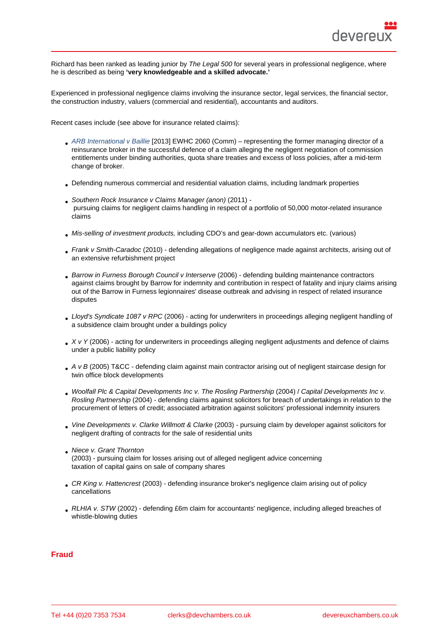Richard has been ranked as leading junior by The Legal 500 for several years in professional negligence, where he is described as being 'very knowledgeable and a skilled advocate.'

Experienced in professional negligence claims involving the insurance sector, legal services, the financial sector, the construction industry, valuers (commercial and residential), accountants and auditors.

Recent cases include (see above for insurance related claims):

- ARB International v Baillie [2013] EWHC 2060 (Comm) representing the former managing director of a reinsurance broker in the successful defence of a claim alleging the negligent negotiation of commission entitlements under binding authorities, quota share treaties and excess of loss policies, after a mid-term change of broker.
- Defending numerous commercial and residential valuation claims, including landmark properties
- Southern Rock Insurance v Claims Manager (anon) (2011) pursuing claims for negligent claims handling in respect of a portfolio of 50,000 motor-related insurance claims
- Mis-selling of investment products, including CDO's and gear-down accumulators etc. (various)
- Frank v Smith-Caradoc (2010) defending allegations of negligence made against architects, arising out of an extensive refurbishment project
- Barrow in Furness Borough Council v Interserve (2006) defending building maintenance contractors against claims brought by Barrow for indemnity and contribution in respect of fatality and injury claims arising out of the Barrow in Furness legionnaires' disease outbreak and advising in respect of related insurance disputes
- Lloyd's Syndicate 1087 v RPC (2006) acting for underwriters in proceedings alleging negligent handling of a subsidence claim brought under a buildings policy
- X v Y (2006) acting for underwriters in proceedings alleging negligent adjustments and defence of claims under a public liability policy
- A v B (2005) T&CC defending claim against main contractor arising out of negligent staircase design for twin office block developments
- Woolfall Plc & Capital Developments Inc v. The Rosling Partnership (2004) / Capital Developments Inc v. Rosling Partnership (2004) - defending claims against solicitors for breach of undertakings in relation to the procurement of letters of credit; associated arbitration against solicitors' professional indemnity insurers
- Vine Developments v. Clarke Willmott & Clarke (2003) pursuing claim by developer against solicitors for negligent drafting of contracts for the sale of residential units
- Niece v. Grant Thornton (2003) - pursuing claim for losses arising out of alleged negligent advice concerning taxation of capital gains on sale of company shares
- CR King v. Hattencrest (2003) defending insurance broker's negligence claim arising out of policy cancellations
- RLHIA v. STW (2002) defending £6m claim for accountants' negligence, including alleged breaches of whistle-blowing duties

#### Fraud